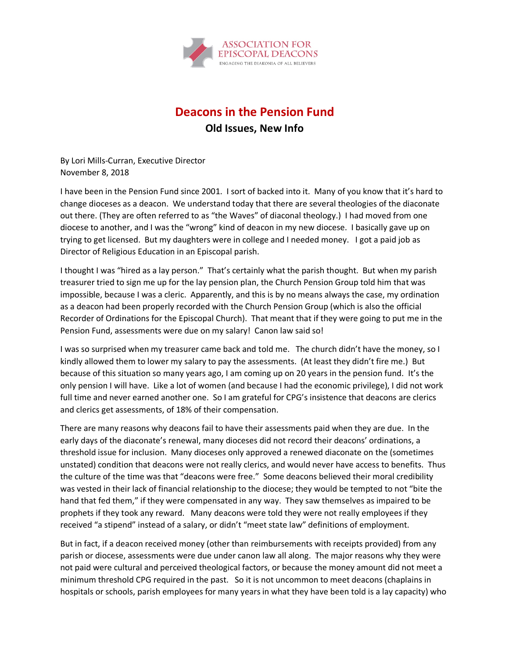

## **Deacons in the Pension Fund**

**Old Issues, New Info**

By Lori Mills-Curran, Executive Director November 8, 2018

I have been in the Pension Fund since 2001. I sort of backed into it. Many of you know that it's hard to change dioceses as a deacon. We understand today that there are several theologies of the diaconate out there. (They are often referred to as "the Waves" of diaconal theology.) I had moved from one diocese to another, and I was the "wrong" kind of deacon in my new diocese. I basically gave up on trying to get licensed. But my daughters were in college and I needed money. I got a paid job as Director of Religious Education in an Episcopal parish.

I thought I was "hired as a lay person." That's certainly what the parish thought. But when my parish treasurer tried to sign me up for the lay pension plan, the Church Pension Group told him that was impossible, because I was a cleric. Apparently, and this is by no means always the case, my ordination as a deacon had been properly recorded with the Church Pension Group (which is also the official Recorder of Ordinations for the Episcopal Church). That meant that if they were going to put me in the Pension Fund, assessments were due on my salary! Canon law said so!

I was so surprised when my treasurer came back and told me. The church didn't have the money, so I kindly allowed them to lower my salary to pay the assessments. (At least they didn't fire me.) But because of this situation so many years ago, I am coming up on 20 years in the pension fund. It's the only pension I will have. Like a lot of women (and because I had the economic privilege), I did not work full time and never earned another one. So I am grateful for CPG's insistence that deacons are clerics and clerics get assessments, of 18% of their compensation.

There are many reasons why deacons fail to have their assessments paid when they are due. In the early days of the diaconate's renewal, many dioceses did not record their deacons' ordinations, a threshold issue for inclusion. Many dioceses only approved a renewed diaconate on the (sometimes unstated) condition that deacons were not really clerics, and would never have access to benefits. Thus the culture of the time was that "deacons were free." Some deacons believed their moral credibility was vested in their lack of financial relationship to the diocese; they would be tempted to not "bite the hand that fed them," if they were compensated in any way. They saw themselves as impaired to be prophets if they took any reward. Many deacons were told they were not really employees if they received "a stipend" instead of a salary, or didn't "meet state law" definitions of employment.

But in fact, if a deacon received money (other than reimbursements with receipts provided) from any parish or diocese, assessments were due under canon law all along. The major reasons why they were not paid were cultural and perceived theological factors, or because the money amount did not meet a minimum threshold CPG required in the past. So it is not uncommon to meet deacons (chaplains in hospitals or schools, parish employees for many years in what they have been told is a lay capacity) who